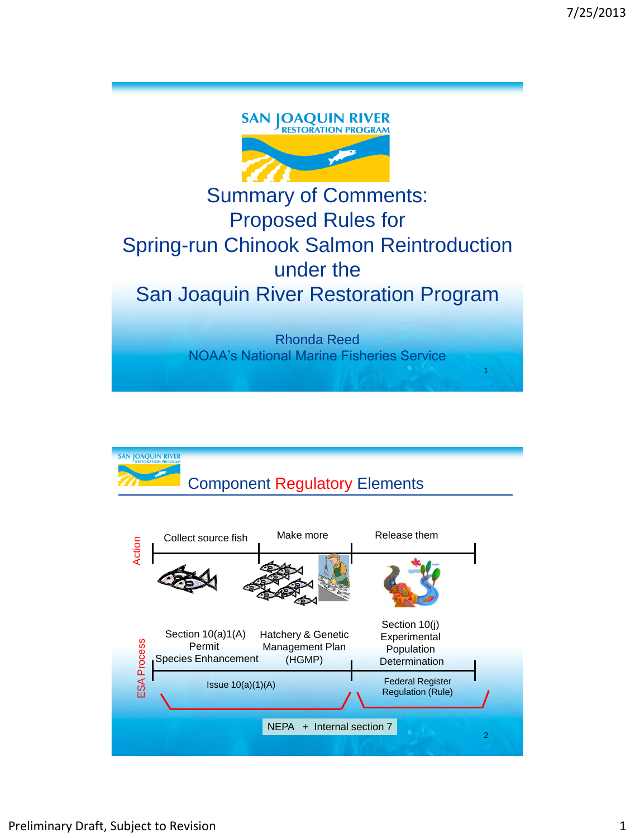

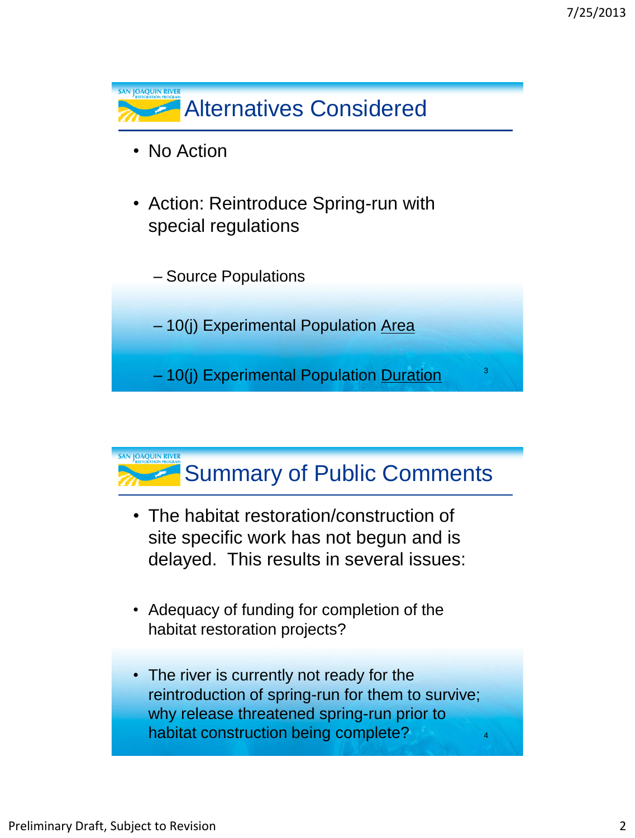

## Summary of Public Comments

- The habitat restoration/construction of site specific work has not begun and is delayed. This results in several issues:
- Adequacy of funding for completion of the habitat restoration projects?
- The river is currently not ready for the reintroduction of spring-run for them to survive; why release threatened spring-run prior to habitat construction being complete? <sup>4</sup>

**SAN JOAQUIN RIVER**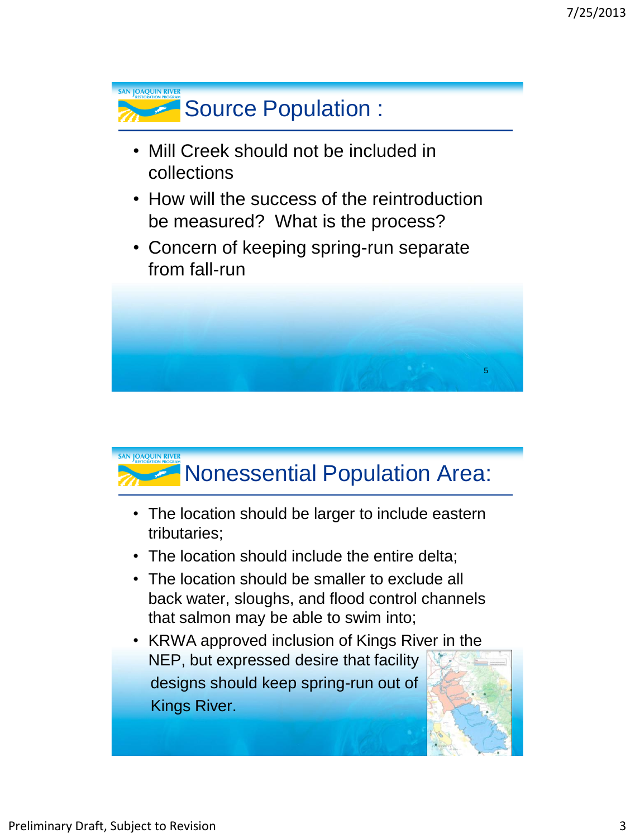

- Mill Creek should not be included in collections
- How will the success of the reintroduction be measured? What is the process?
- Concern of keeping spring-run separate from fall-run



## **SAN JOAOUIN RIVER** Nonessential Population Area:

- The location should be larger to include eastern tributaries;
- The location should include the entire delta;
- The location should be smaller to exclude all back water, sloughs, and flood control channels that salmon may be able to swim into;
- KRWA approved inclusion of Kings River in the NEP, but expressed desire that facility designs should keep spring-run out of Kings River.

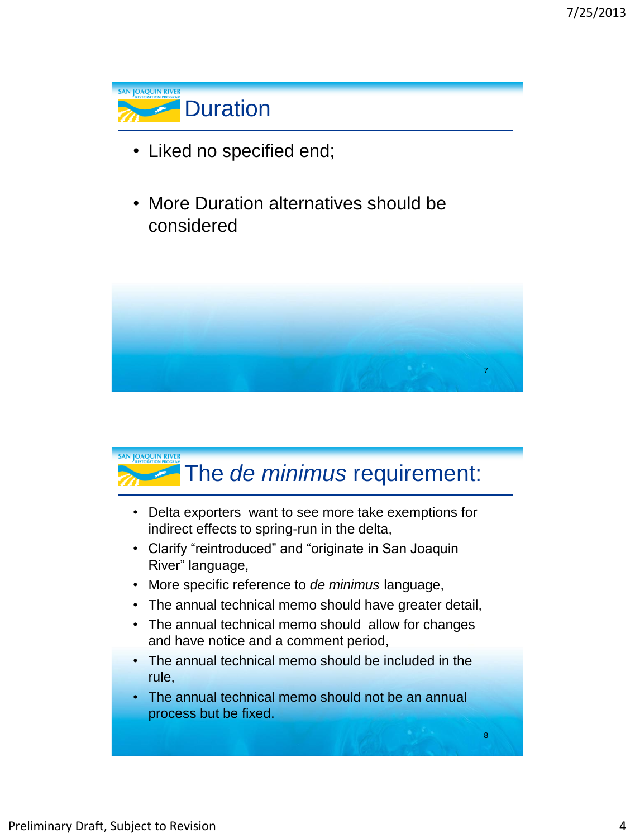

- Liked no specified end;
- More Duration alternatives should be considered



## **SAN JOAQUIN RIVER** The *de minimus* requirement:

- Delta exporters want to see more take exemptions for indirect effects to spring-run in the delta,
- Clarify "reintroduced" and "originate in San Joaquin River" language,
- More specific reference to *de minimus* language,
- The annual technical memo should have greater detail,
- The annual technical memo should allow for changes and have notice and a comment period,
- The annual technical memo should be included in the rule,
- The annual technical memo should not be an annual process but be fixed.

8